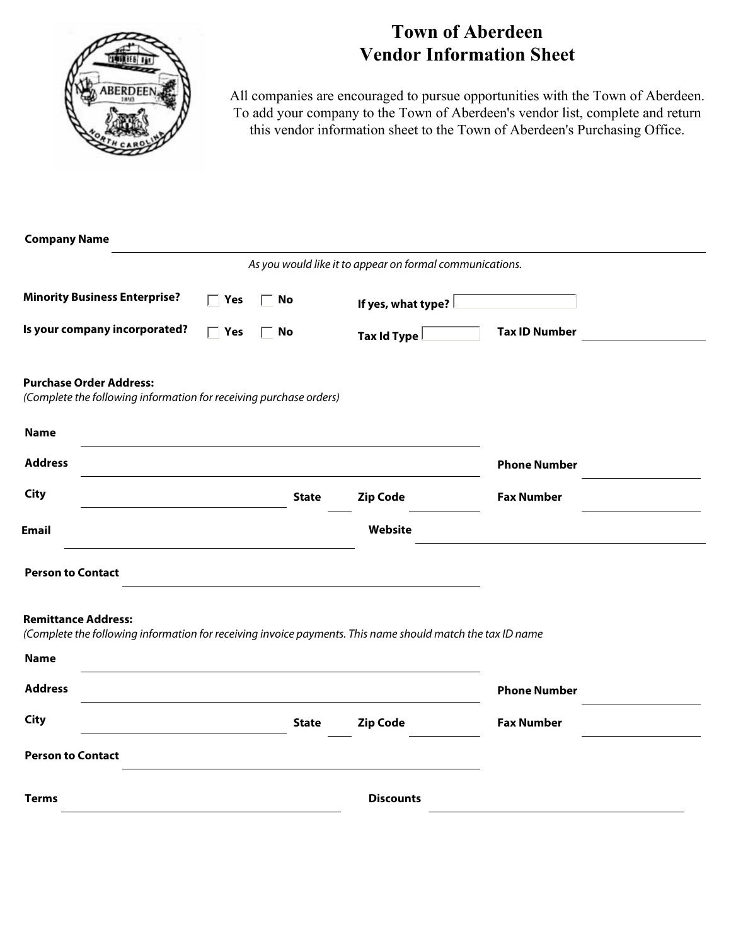

## **Town of Aberdeen Vendor Information Sheet**

All companies are encouraged to pursue opportunities with the Town of Aberdeen. To add your company to the Town of Aberdeen's vendor list, complete and return this vendor information sheet to the Town of Aberdeen's Purchasing Office.

| <b>Company Name</b>                                                                                                                      |                              |                             |                                                          |                       |  |
|------------------------------------------------------------------------------------------------------------------------------------------|------------------------------|-----------------------------|----------------------------------------------------------|-----------------------|--|
|                                                                                                                                          |                              |                             | As you would like it to appear on formal communications. |                       |  |
| <b>Minority Business Enterprise?</b>                                                                                                     | $\overline{\phantom{a}}$ Yes | $\overline{\phantom{a}}$ No | If yes, what type?                                       | $\blacktriangleright$ |  |
| Is your company incorporated?                                                                                                            | $\Box$ Yes                   | No                          | $\overline{\phantom{a}}$<br>Tax Id Type                  | <b>Tax ID Number</b>  |  |
| <b>Purchase Order Address:</b><br>(Complete the following information for receiving purchase orders)                                     |                              |                             |                                                          |                       |  |
| <b>Name</b>                                                                                                                              |                              |                             |                                                          |                       |  |
| <b>Address</b>                                                                                                                           |                              |                             |                                                          | <b>Phone Number</b>   |  |
| <b>City</b>                                                                                                                              |                              | <b>State</b>                | <b>Zip Code</b>                                          | <b>Fax Number</b>     |  |
| <b>Email</b>                                                                                                                             |                              |                             | Website                                                  |                       |  |
| <b>Person to Contact</b>                                                                                                                 |                              |                             |                                                          |                       |  |
| <b>Remittance Address:</b><br>(Complete the following information for receiving invoice payments. This name should match the tax ID name |                              |                             |                                                          |                       |  |
| <b>Name</b>                                                                                                                              |                              |                             |                                                          |                       |  |
| <b>Address</b>                                                                                                                           |                              |                             |                                                          | <b>Phone Number</b>   |  |
| <b>City</b>                                                                                                                              |                              | <b>State</b>                | <b>Zip Code</b>                                          | <b>Fax Number</b>     |  |
| <b>Person to Contact</b>                                                                                                                 |                              |                             |                                                          |                       |  |
| <b>Terms</b>                                                                                                                             |                              |                             | <b>Discounts</b>                                         |                       |  |